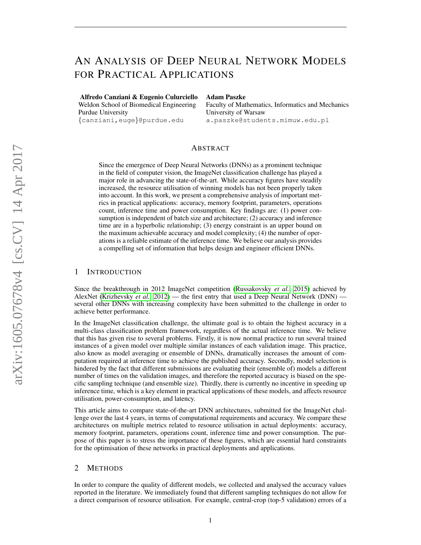# AN ANALYSIS OF DEEP NEURAL NETWORK MODELS FOR PRACTICAL APPLICATIONS

Alfredo Canziani & Eugenio Culurciello Weldon School of Biomedical Engineering Purdue University {canziani,euge}@purdue.edu

Adam Paszke

Faculty of Mathematics, Informatics and Mechanics University of Warsaw a.paszke@students.mimuw.edu.pl

ABSTRACT

Since the emergence of Deep Neural Networks (DNNs) as a prominent technique in the field of computer vision, the ImageNet classification challenge has played a major role in advancing the state-of-the-art. While accuracy figures have steadily increased, the resource utilisation of winning models has not been properly taken into account. In this work, we present a comprehensive analysis of important metrics in practical applications: accuracy, memory footprint, parameters, operations count, inference time and power consumption. Key findings are: (1) power consumption is independent of batch size and architecture; (2) accuracy and inference time are in a hyperbolic relationship; (3) energy constraint is an upper bound on the maximum achievable accuracy and model complexity; (4) the number of operations is a reliable estimate of the inference time. We believe our analysis provides a compelling set of information that helps design and engineer efficient DNNs.

# 1 INTRODUCTION

Since the breakthrough in 2012 ImageNet competition [\(Russakovsky](#page-6-0) *et al.*, [2015\)](#page-6-0) achieved by AlexNet [\(Krizhevsky](#page-6-1) *et al.*, [2012\)](#page-6-1) — the first entry that used a Deep Neural Network (DNN) several other DNNs with increasing complexity have been submitted to the challenge in order to achieve better performance.

In the ImageNet classification challenge, the ultimate goal is to obtain the highest accuracy in a multi-class classification problem framework, regardless of the actual inference time. We believe that this has given rise to several problems. Firstly, it is now normal practice to run several trained instances of a given model over multiple similar instances of each validation image. This practice, also know as model averaging or ensemble of DNNs, dramatically increases the amount of computation required at inference time to achieve the published accuracy. Secondly, model selection is hindered by the fact that different submissions are evaluating their (ensemble of) models a different number of times on the validation images, and therefore the reported accuracy is biased on the specific sampling technique (and ensemble size). Thirdly, there is currently no incentive in speeding up inference time, which is a key element in practical applications of these models, and affects resource utilisation, power-consumption, and latency.

This article aims to compare state-of-the-art DNN architectures, submitted for the ImageNet challenge over the last 4 years, in terms of computational requirements and accuracy. We compare these architectures on multiple metrics related to resource utilisation in actual deployments: accuracy, memory footprint, parameters, operations count, inference time and power consumption. The purpose of this paper is to stress the importance of these figures, which are essential hard constraints for the optimisation of these networks in practical deployments and applications.

## <span id="page-0-0"></span>2 METHODS

In order to compare the quality of different models, we collected and analysed the accuracy values reported in the literature. We immediately found that different sampling techniques do not allow for a direct comparison of resource utilisation. For example, central-crop (top-5 validation) errors of a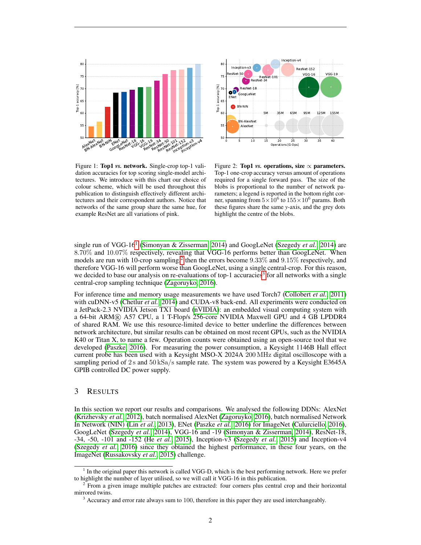<span id="page-1-3"></span>

Inception-v4 80 Inception-v3 ResNet-152 esNet-50 VGG-16 VGG-19 75 ResNet-101 ResNet-34 Top-1 accuracy [%] Top-1 accuracy [%] ResNet-18 70 **GoogLeNet** ENet 65 BN-NIN <u>60</u> 5M - 35M - 65M - 95M - 125M - 155M - -**BN-AlexNet** 55 AlexNet 50 0 5 10 15 20 25 30 35 40 Operations [G-Ops]

Figure 1: Top1 *vs.* network. Single-crop top-1 validation accuracies for top scoring single-model architectures. We introduce with this chart our choice of colour scheme, which will be used throughout this publication to distinguish effectively different architectures and their correspondent authors. Notice that networks of the same group share the same hue, for example ResNet are all variations of pink.

Figure 2: **Top1** *vs.* operations, size  $\propto$  parameters. Top-1 one-crop accuracy versus amount of operations required for a single forward pass. The size of the blobs is proportional to the number of network parameters; a legend is reported in the bottom right corner, spanning from  $5 \times 10^6$  to  $155 \times 10^6$  params. Both these figures share the same *y*-axis, and the grey dots highlight the centre of the blobs.

single run of VGG-[1](#page-1-0)6<sup>1</sup> [\(Simonyan & Zisserman, 2014\)](#page-6-2) and GoogLeNet [\(Szegedy](#page-6-3) et al., [2014\)](#page-6-3) are 8.70% and 10.07% respectively, revealing that VGG-16 performs better than GoogLeNet. When models are run with 10-crop sampling,<sup>[2](#page-1-1)</sup> then the errors become  $9.33\%$  and  $9.15\%$  respectively, and therefore VGG-16 will perform worse than GoogLeNet, using a single central-crop. For this reason, we decided to base our analysis on re-evaluations of top-1 accuracies<sup>[3](#page-1-2)</sup> for all networks with a single central-crop sampling technique [\(Zagoruyko, 2016\)](#page-6-4).

For inference time and memory usage measurements we have used Torch7 [\(Collobert](#page-6-5) *et al.*, [2011\)](#page-6-5) with cuDNN-v5 [\(Chetlur](#page-6-6) *et al.*, [2014\)](#page-6-6) and CUDA-v8 back-end. All experiments were conducted on a JetPack-2.3 NVIDIA Jetson TX1 board [\(nVIDIA\)](#page-6-7): an embedded visual computing system with a 64-bit ARM <sup>R</sup> A57 CPU, a 1 T-Flop/s 256-core NVIDIA Maxwell GPU and 4 GB LPDDR4 of shared RAM. We use this resource-limited device to better underline the differences between network architecture, but similar results can be obtained on most recent GPUs, such as the NVIDIA K40 or Titan X, to name a few. Operation counts were obtained using an open-source tool that we developed [\(Paszke, 2016\)](#page-6-8). For measuring the power consumption, a Keysight 1146B Hall effect current probe has been used with a Keysight MSO-X 2024A 200 MHz digital oscilloscope with a sampling period of 2 s and  $50 \text{ kSa/s}$  sample rate. The system was powered by a Keysight E3645A GPIB controlled DC power supply.

## 3 RESULTS

In this section we report our results and comparisons. We analysed the following DDNs: AlexNet [\(Krizhevsky](#page-6-1) *et al.*, [2012\)](#page-6-1), batch normalised AlexNet [\(Zagoruyko, 2016\)](#page-6-4), batch normalised Network In Network (NIN) (Lin *[et al.](#page-6-9)*, [2013\)](#page-6-9), ENet [\(Paszke](#page-6-10) *et al.*, [2016\)](#page-6-10) for ImageNet [\(Culurciello, 2016\)](#page-6-11), GoogLeNet [\(Szegedy](#page-6-3) *et al.*, [2014\)](#page-6-3), VGG-16 and -19 [\(Simonyan & Zisserman, 2014\)](#page-6-2), ResNet-18, -34, -50, -101 and -152 (He *[et al.](#page-6-12)*, [2015\)](#page-6-12), Inception-v3 [\(Szegedy](#page-6-13) *et al.*, [2015\)](#page-6-13) and Inception-v4 [\(Szegedy](#page-6-14) *et al.*, [2016\)](#page-6-14) since they obtained the highest performance, in these four years, on the ImageNet [\(Russakovsky](#page-6-0) *et al.*, [2015\)](#page-6-0) challenge.

<span id="page-1-0"></span><sup>&</sup>lt;sup>1</sup> In the original paper this network is called VGG-D, which is the best performing network. Here we prefer to highlight the number of layer utilised, so we will call it VGG-16 in this publication.

<span id="page-1-1"></span><sup>&</sup>lt;sup>2</sup> From a given image multiple patches are extracted: four corners plus central crop and their horizontal mirrored twins.

<span id="page-1-2"></span> $3$  Accuracy and error rate always sum to 100, therefore in this paper they are used interchangeably.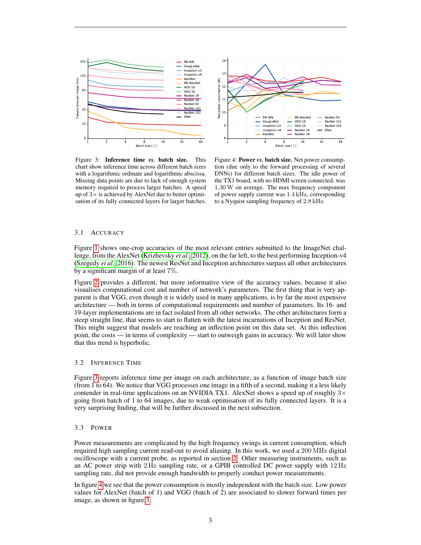<span id="page-2-0"></span>

Figure 3: Inference time *vs.* batch size. This chart show inference time across different batch sizes with a logarithmic ordinate and logarithmic abscissa. Missing data points are due to lack of enough system memory required to process larger batches. A speed up of  $3\times$  is achieved by AlexNet due to better optimisation of its fully connected layers for larger batches.

Figure 4: Power *vs.* batch size. Net power consumption (due only to the forward processing of several DNNs) for different batch sizes. The idle power of the TX1 board, with no HDMI screen connected, was 1.30W on average. The max frequency component of power supply current was 1.4 kHz, corresponding to a Nyquist sampling frequency of 2.8 kHz.

### <span id="page-2-1"></span>3.1 ACCURACY

Figure [1](#page-1-3) shows one-crop accuracies of the most relevant entries submitted to the ImageNet challenge, from the AlexNet [\(Krizhevsky](#page-6-1) *et al.*, [2012\)](#page-6-1), on the far left, to the best performing Inception-v4 [\(Szegedy](#page-6-14) *et al.*, [2016\)](#page-6-14). The newest ResNet and Inception architectures surpass all other architectures by a significant margin of at least 7%.

Figure [2](#page-1-3) provides a different, but more informative view of the accuracy values, because it also visualises computational cost and number of network's parameters. The first thing that is very apparent is that VGG, even though it is widely used in many applications, is by far the most expensive architecture — both in terms of computational requirements and number of parameters. Its 16- and 19-layer implementations are in fact isolated from all other networks. The other architectures form a steep straight line, that seems to start to flatten with the latest incarnations of Inception and ResNet. This might suggest that models are reaching an inflection point on this data set. At this inflection point, the costs — in terms of complexity — start to outweigh gains in accuracy. We will later show that this trend is hyperbolic.

#### 3.2 INFERENCE TIME

Figure [3](#page-2-0) reports inference time per image on each architecture, as a function of image batch size (from 1 to 64). We notice that VGG processes one image in a fifth of a second, making it a less likely contender in real-time applications on an NVIDIA TX1. AlexNet shows a speed up of roughly  $3\times$ going from batch of 1 to 64 images, due to weak optimisation of its fully connected layers. It is a very surprising finding, that will be further discussed in the next subsection.

## 3.3 POWER

Power measurements are complicated by the high frequency swings in current consumption, which required high sampling current read-out to avoid aliasing. In this work, we used a 200 MHz digital oscilloscope with a current probe, as reported in section [2.](#page-0-0) Other measuring instruments, such as an AC power strip with 2 Hz sampling rate, or a GPIB controlled DC power supply with 12 Hz sampling rate, did not provide enough bandwidth to properly conduct power measurements.

In figure [4](#page-2-0) we see that the power consumption is mostly independent with the batch size. Low power values for AlexNet (batch of 1) and VGG (batch of 2) are associated to slower forward times per image, as shown in figure [3.](#page-2-0)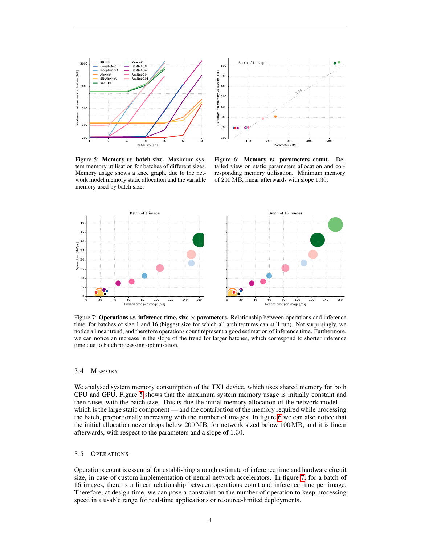<span id="page-3-0"></span>



Figure 5: Memory *vs.* batch size. Maximum system memory utilisation for batches of different sizes. Memory usage shows a knee graph, due to the network model memory static allocation and the variable memory used by batch size.

Figure 6: Memory *vs.* parameters count. Detailed view on static parameters allocation and corresponding memory utilisation. Minimum memory of 200 MB, linear afterwards with slope 1.30.

<span id="page-3-1"></span>

Figure 7: **Operations** *vs.* **inference time, size**  $\propto$  **parameters.** Relationship between operations and inference time, for batches of size 1 and 16 (biggest size for which all architectures can still run). Not surprisingly, we notice a linear trend, and therefore operations count represent a good estimation of inference time. Furthermore, we can notice an increase in the slope of the trend for larger batches, which correspond to shorter inference time due to batch processing optimisation.

### 3.4 MEMORY

We analysed system memory consumption of the TX1 device, which uses shared memory for both CPU and GPU. Figure [5](#page-3-0) shows that the maximum system memory usage is initially constant and then raises with the batch size. This is due the initial memory allocation of the network model which is the large static component — and the contribution of the memory required while processing the batch, proportionally increasing with the number of images. In figure [6](#page-3-0) we can also notice that the initial allocation never drops below 200 MB, for network sized below 100 MB, and it is linear afterwards, with respect to the parameters and a slope of 1.30.

#### 3.5 OPERATIONS

Operations count is essential for establishing a rough estimate of inference time and hardware circuit size, in case of custom implementation of neural network accelerators. In figure [7,](#page-3-1) for a batch of 16 images, there is a linear relationship between operations count and inference time per image. Therefore, at design time, we can pose a constraint on the number of operation to keep processing speed in a usable range for real-time applications or resource-limited deployments.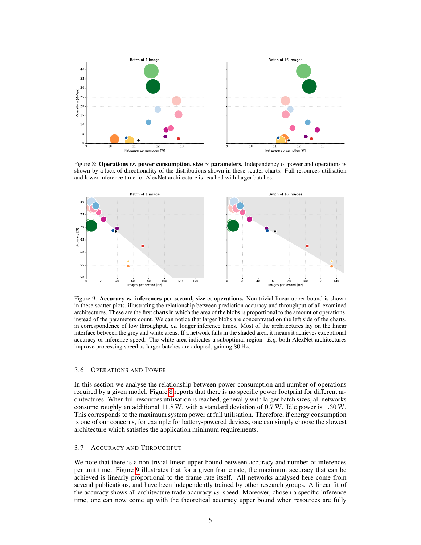<span id="page-4-0"></span>

Figure 8: **Operations** *vs.* **power consumption, size**  $\propto$  **parameters.** Independency of power and operations is shown by a lack of directionality of the distributions shown in these scatter charts. Full resources utilisation and lower inference time for AlexNet architecture is reached with larger batches.

<span id="page-4-1"></span>

Figure 9: Accuracy *vs.* inferences per second, size  $\propto$  operations. Non trivial linear upper bound is shown in these scatter plots, illustrating the relationship between prediction accuracy and throughput of all examined architectures. These are the first charts in which the area of the blobs is proportional to the amount of operations, instead of the parameters count. We can notice that larger blobs are concentrated on the left side of the charts, in correspondence of low throughput, *i.e.* longer inference times. Most of the architectures lay on the linear interface between the grey and white areas. If a network falls in the shaded area, it means it achieves exceptional accuracy or inference speed. The white area indicates a suboptimal region. *E.g.* both AlexNet architectures improve processing speed as larger batches are adopted, gaining 80 Hz.

### <span id="page-4-2"></span>3.6 OPERATIONS AND POWER

In this section we analyse the relationship between power consumption and number of operations required by a given model. Figure [8](#page-4-0) reports that there is no specific power footprint for different architectures. When full resources utilisation is reached, generally with larger batch sizes, all networks consume roughly an additional 11.8W, with a standard deviation of 0.7W. Idle power is 1.30W. This corresponds to the maximum system power at full utilisation. Therefore, if energy consumption is one of our concerns, for example for battery-powered devices, one can simply choose the slowest architecture which satisfies the application minimum requirements.

### 3.7 ACCURACY AND THROUGHPUT

We note that there is a non-trivial linear upper bound between accuracy and number of inferences per unit time. Figure [9](#page-4-1) illustrates that for a given frame rate, the maximum accuracy that can be achieved is linearly proportional to the frame rate itself. All networks analysed here come from several publications, and have been independently trained by other research groups. A linear fit of the accuracy shows all architecture trade accuracy *vs*. speed. Moreover, chosen a specific inference time, one can now come up with the theoretical accuracy upper bound when resources are fully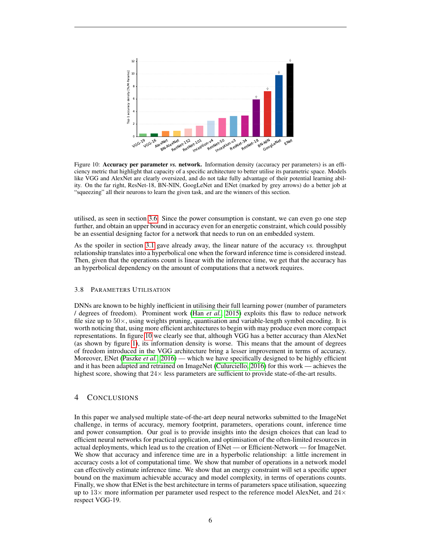<span id="page-5-0"></span>

Figure 10: **Accuracy per parameter** *vs.* **network.** Information density (accuracy per parameters) is an efficiency metric that highlight that capacity of a specific architecture to better utilise its parametric space. Models like VGG and AlexNet are clearly oversized, and do not take fully advantage of their potential learning ability. On the far right, ResNet-18, BN-NIN, GoogLeNet and ENet (marked by grey arrows) do a better job at "squeezing" all their neurons to learn the given task, and are the winners of this section.

utilised, as seen in section [3.6.](#page-4-2) Since the power consumption is constant, we can even go one step further, and obtain an upper bound in accuracy even for an energetic constraint, which could possibly be an essential designing factor for a network that needs to run on an embedded system.

As the spoiler in section [3.1](#page-2-1) gave already away, the linear nature of the accuracy *vs.* throughput relationship translates into a hyperbolical one when the forward inference time is considered instead. Then, given that the operations count is linear with the inference time, we get that the accuracy has an hyperbolical dependency on the amount of computations that a network requires.

### 3.8 PARAMETERS UTILISATION

DNNs are known to be highly inefficient in utilising their full learning power (number of parameters / degrees of freedom). Prominent work (Han *[et al.](#page-6-15)*, [2015\)](#page-6-15) exploits this flaw to reduce network file size up to  $50\times$ , using weights pruning, quantisation and variable-length symbol encoding. It is worth noticing that, using more efficient architectures to begin with may produce even more compact representations. In figure [10](#page-5-0) we clearly see that, although VGG has a better accuracy than AlexNet (as shown by figure [1\)](#page-1-3), its information density is worse. This means that the amount of degrees of freedom introduced in the VGG architecture bring a lesser improvement in terms of accuracy. Moreover, ENet [\(Paszke](#page-6-10) *et al.*, [2016\)](#page-6-10) — which we have specifically designed to be highly efficient and it has been adapted and retrained on ImageNet [\(Culurciello, 2016\)](#page-6-11) for this work — achieves the highest score, showing that  $24\times$  less parameters are sufficient to provide state-of-the-art results.

## 4 CONCLUSIONS

In this paper we analysed multiple state-of-the-art deep neural networks submitted to the ImageNet challenge, in terms of accuracy, memory footprint, parameters, operations count, inference time and power consumption. Our goal is to provide insights into the design choices that can lead to efficient neural networks for practical application, and optimisation of the often-limited resources in actual deployments, which lead us to the creation of ENet — or Efficient-Network — for ImageNet. We show that accuracy and inference time are in a hyperbolic relationship: a little increment in accuracy costs a lot of computational time. We show that number of operations in a network model can effectively estimate inference time. We show that an energy constraint will set a specific upper bound on the maximum achievable accuracy and model complexity, in terms of operations counts. Finally, we show that ENet is the best architecture in terms of parameters space utilisation, squeezing up to  $13\times$  more information per parameter used respect to the reference model AlexNet, and  $24\times$ respect VGG-19.